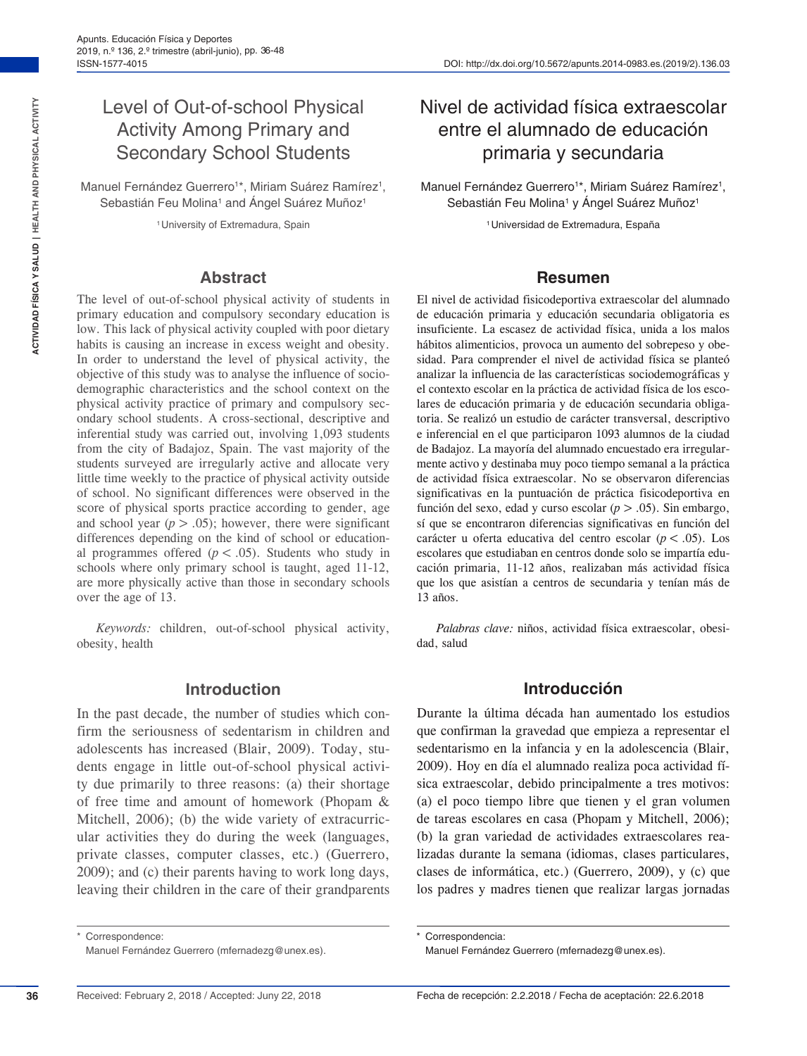# Level of Out-of-school Physical Activity Among Primary and Secondary School Students

Manuel Fernández Guerrero<sup>1\*</sup>, Miriam Suárez Ramírez<sup>1</sup>, Sebastián Feu Molina<sup>1</sup> and Ángel Suárez Muñoz<sup>1</sup>

<sup>1</sup> University of Extremadura, Spain

#### **Abstract**

The level of out-of-school physical activity of students in primary education and compulsory secondary education is low. This lack of physical activity coupled with poor dietary habits is causing an increase in excess weight and obesity. In order to understand the level of physical activity, the objective of this study was to analyse the influence of sociodemographic characteristics and the school context on the physical activity practice of primary and compulsory secondary school students. A cross-sectional, descriptive and inferential study was carried out, involving 1,093 students from the city of Badajoz, Spain. The vast majority of the students surveyed are irregularly active and allocate very little time weekly to the practice of physical activity outside of school. No significant differences were observed in the score of physical sports practice according to gender, age and school year  $(p > .05)$ ; however, there were significant differences depending on the kind of school or educational programmes offered  $(p < .05)$ . Students who study in schools where only primary school is taught, aged 11-12, are more physically active than those in secondary schools over the age of 13.

*Keywords:* children, out-of-school physical activity, obesity, health

#### **Introduction**

In the past decade, the number of studies which confirm the seriousness of sedentarism in children and adolescents has increased (Blair, 2009). Today, students engage in little out-of-school physical activity due primarily to three reasons: (a) their shortage of free time and amount of homework (Phopam & Mitchell, 2006); (b) the wide variety of extracurricular activities they do during the week (languages, private classes, computer classes, etc.) (Guerrero, 2009); and (c) their parents having to work long days, leaving their children in the care of their grandparents

## Nivel de actividad física extraescolar entre el alumnado de educación primaria y secundaria

Manuel Fernández Guerrero<sup>1\*</sup>, Miriam Suárez Ramírez<sup>1</sup>, Sebastián Feu Molina<sup>1</sup> y Ángel Suárez Muñoz<sup>1</sup>

1Universidad de Extremadura, España

#### **Resumen**

El nivel de actividad fisicodeportiva extraescolar del alumnado de educación primaria y educación secundaria obligatoria es insuficiente. La escasez de actividad física, unida a los malos hábitos alimenticios, provoca un aumento del sobrepeso y obesidad. Para comprender el nivel de actividad física se planteó analizar la influencia de las características sociodemográficas y el contexto escolar en la práctica de actividad física de los escolares de educación primaria y de educación secundaria obligatoria. Se realizó un estudio de carácter transversal, descriptivo e inferencial en el que participaron 1093 alumnos de la ciudad de Badajoz. La mayoría del alumnado encuestado era irregularmente activo y destinaba muy poco tiempo semanal a la práctica de actividad física extraescolar. No se observaron diferencias significativas en la puntuación de práctica fisicodeportiva en función del sexo, edad y curso escolar (*p*>.05). Sin embargo, sí que se encontraron diferencias significativas en función del carácter u oferta educativa del centro escolar (*p*<.05). Los escolares que estudiaban en centros donde solo se impartía educación primaria, 11-12 años, realizaban más actividad física que los que asistían a centros de secundaria y tenían más de 13 años.

*Palabras clave:* niños, actividad física extraescolar, obesidad, salud

#### **Introducción**

Durante la última década han aumentado los estudios que confirman la gravedad que empieza a representar el sedentarismo en la infancia y en la adolescencia (Blair, 2009). Hoy en día el alumnado realiza poca actividad física extraescolar, debido principalmente a tres motivos: (a) el poco tiempo libre que tienen y el gran volumen de tareas escolares en casa (Phopam y Mitchell, 2006); (b) la gran variedad de actividades extraescolares realizadas durante la semana (idiomas, clases particulares, clases de informática, etc.) (Guerrero, 2009), y (c) que los padres y madres tienen que realizar largas jornadas

**36**

Correspondence: Manuel Fernández Guerrero (mfernadezg@unex.es).

Correspondencia:

Manuel Fernández Guerrero (mfernadezg@unex.es).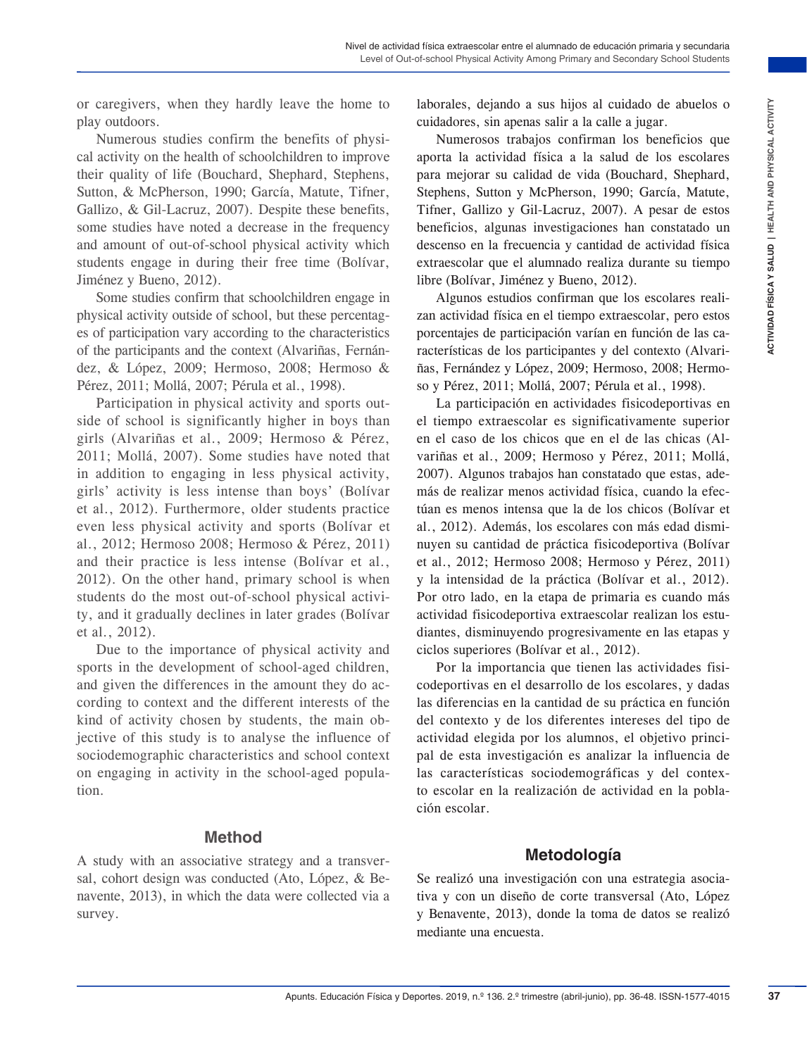or caregivers, when they hardly leave the home to play outdoors.

Numerous studies confirm the benefits of physical activity on the health of schoolchildren to improve their quality of life (Bouchard, Shephard, Stephens, Sutton, & McPherson, 1990; García, Matute, Tifner, Gallizo, & Gil-Lacruz, 2007). Despite these benefits, some studies have noted a decrease in the frequency and amount of out-of-school physical activity which students engage in during their free time (Bolívar, Jiménez y Bueno, 2012).

Some studies confirm that schoolchildren engage in physical activity outside of school, but these percentages of participation vary according to the characteristics of the participants and the context (Alvariñas, Fernández, & López, 2009; Hermoso, 2008; Hermoso & Pérez, 2011; Mollá, 2007; Pérula et al., 1998).

Participation in physical activity and sports outside of school is significantly higher in boys than girls (Alvariñas et al., 2009; Hermoso & Pérez, 2011; Mollá, 2007). Some studies have noted that in addition to engaging in less physical activity, girls' activity is less intense than boys' (Bolívar et al., 2012). Furthermore, older students practice even less physical activity and sports (Bolívar et al., 2012; Hermoso 2008; Hermoso & Pérez, 2011) and their practice is less intense (Bolívar et al., 2012). On the other hand, primary school is when students do the most out-of-school physical activity, and it gradually declines in later grades (Bolívar et al., 2012).

Due to the importance of physical activity and sports in the development of school-aged children, and given the differences in the amount they do according to context and the different interests of the kind of activity chosen by students, the main objective of this study is to analyse the influence of sociodemographic characteristics and school context on engaging in activity in the school-aged population.

#### **Method**

A study with an associative strategy and a transversal, cohort design was conducted (Ato, López, & Benavente, 2013), in which the data were collected via a survey.

laborales, dejando a sus hijos al cuidado de abuelos o cuidadores, sin apenas salir a la calle a jugar.

Numerosos trabajos confirman los beneficios que aporta la actividad física a la salud de los escolares para mejorar su calidad de vida (Bouchard, Shephard, Stephens, Sutton y McPherson, 1990; García, Matute, Tifner, Gallizo y Gil-Lacruz, 2007). A pesar de estos beneficios, algunas investigaciones han constatado un descenso en la frecuencia y cantidad de actividad física extraescolar que el alumnado realiza durante su tiempo libre (Bolívar, Jiménez y Bueno, 2012).

Algunos estudios confirman que los escolares realizan actividad física en el tiempo extraescolar, pero estos porcentajes de participación varían en función de las características de los participantes y del contexto (Alvariñas, Fernández y López, 2009; Hermoso, 2008; Hermoso y Pérez, 2011; Mollá, 2007; Pérula et al., 1998).

Ever the home to **c** continuous can share the control of physical control of physical control of physical control in the preficient of physical Septential Septential Septential Septential Septential Septential Septential S La participación en actividades fisicodeportivas en el tiempo extraescolar es significativamente superior en el caso de los chicos que en el de las chicas (Alvariñas et al., 2009; Hermoso y Pérez, 2011; Mollá, 2007). Algunos trabajos han constatado que estas, además de realizar menos actividad física, cuando la efectúan es menos intensa que la de los chicos (Bolívar et al., 2012). Además, los escolares con más edad disminuyen su cantidad de práctica fisicodeportiva (Bolívar et al., 2012; Hermoso 2008; Hermoso y Pérez, 2011) y la intensidad de la práctica (Bolívar et al., 2012). Por otro lado, en la etapa de primaria es cuando más actividad fisicodeportiva extraescolar realizan los estudiantes, disminuyendo progresivamente en las etapas y ciclos superiores (Bolívar et al., 2012).

Por la importancia que tienen las actividades fisicodeportivas en el desarrollo de los escolares, y dadas las diferencias en la cantidad de su práctica en función del contexto y de los diferentes intereses del tipo de actividad elegida por los alumnos, el objetivo principal de esta investigación es analizar la influencia de las características sociodemográficas y del contexto escolar en la realización de actividad en la población escolar.

#### **Metodología**

Se realizó una investigación con una estrategia asociativa y con un diseño de corte transversal (Ato, López y Benavente, 2013), donde la toma de datos se realizó mediante una encuesta.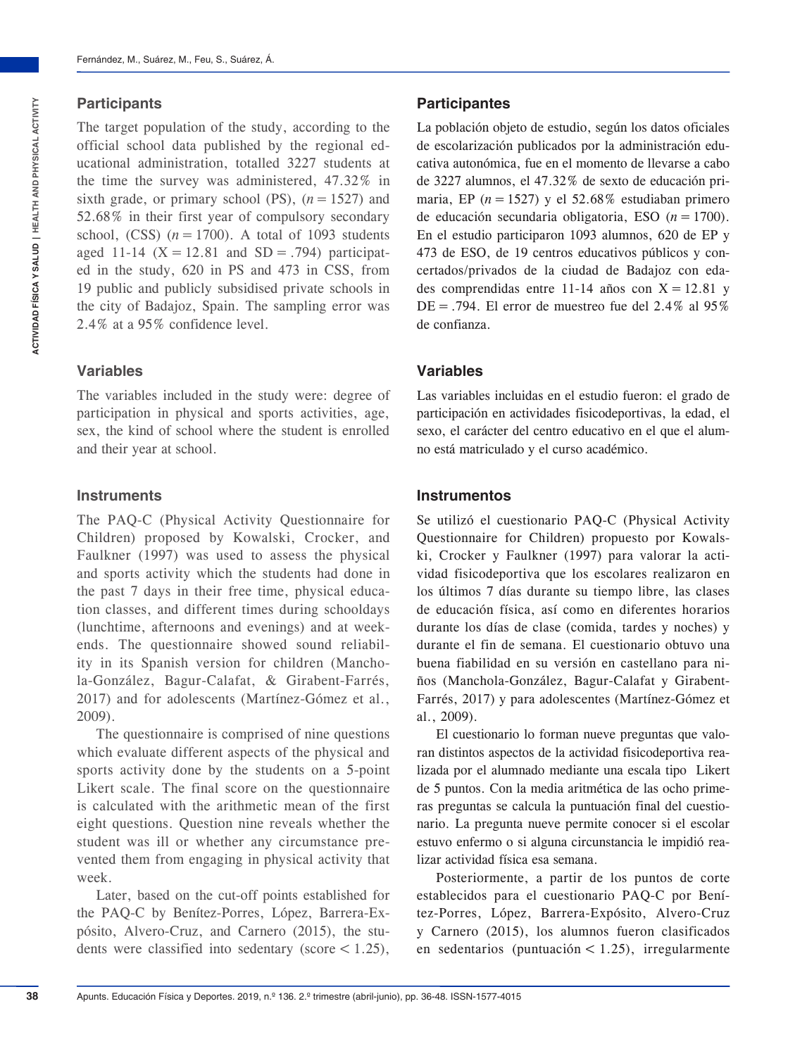### **Participants**

The target population of the study, according to the official school data published by the regional educational administration, totalled 3227 students at the time the survey was administered, 47.32% in sixth grade, or primary school (PS),  $(n = 1527)$  and 52.68% in their first year of compulsory secondary school,  $(CSS)$   $(n = 1700)$ . A total of 1093 students aged 11-14  $(X = 12.81$  and  $SD = .794)$  participated in the study, 620 in PS and 473 in CSS, from 19 public and publicly subsidised private schools in the city of Badajoz, Spain. The sampling error was 2.4% at a 95% confidence level.

### **Variables**

The variables included in the study were: degree of participation in physical and sports activities, age, sex, the kind of school where the student is enrolled and their year at school.

#### **Instruments**

The PAQ-C (Physical Activity Questionnaire for Children) proposed by Kowalski, Crocker, and Faulkner (1997) was used to assess the physical and sports activity which the students had done in the past 7 days in their free time, physical education classes, and different times during schooldays (lunchtime, afternoons and evenings) and at weekends. The questionnaire showed sound reliability in its Spanish version for children (Manchola-González, Bagur-Calafat, & Girabent-Farrés, 2017) and for adolescents (Martínez-Gómez et al., 2009).

The questionnaire is comprised of nine questions which evaluate different aspects of the physical and sports activity done by the students on a 5-point Likert scale. The final score on the questionnaire is calculated with the arithmetic mean of the first eight questions. Question nine reveals whether the student was ill or whether any circumstance prevented them from engaging in physical activity that week.

Later, based on the cut-off points established for the PAQ-C by Benítez-Porres, López, Barrera-Expósito, Alvero-Cruz, and Carnero (2015), the students were classified into sedentary (score  $\lt$  1.25),

### **Participantes**

La población objeto de estudio, según los datos oficiales de escolarización publicados por la administración educativa autonómica, fue en el momento de llevarse a cabo de 3227 alumnos, el 47.32% de sexto de educación primaria, EP  $(n = 1527)$  y el 52.68% estudiaban primero de educación secundaria obligatoria, ESO (*n*=1700). En el estudio participaron 1093 alumnos, 620 de EP y 473 de ESO, de 19 centros educativos públicos y concertados/privados de la ciudad de Badajoz con edades comprendidas entre 11-14 años con  $X = 12.81$  y  $DE = .794$ . El error de muestreo fue del 2.4% al 95% de confianza.

### **Variables**

Las variables incluidas en el estudio fueron: el grado de participación en actividades fisicodeportivas, la edad, el sexo, el carácter del centro educativo en el que el alumno está matriculado y el curso académico.

#### **Instrumentos**

Se utilizó el cuestionario PAQ-C (Physical Activity Questionnaire for Children) propuesto por Kowalski, Crocker y Faulkner (1997) para valorar la actividad fisicodeportiva que los escolares realizaron en los últimos 7 días durante su tiempo libre, las clases de educación física, así como en diferentes horarios durante los días de clase (comida, tardes y noches) y durante el fin de semana. El cuestionario obtuvo una buena fiabilidad en su versión en castellano para niños (Manchola-González, Bagur-Calafat y Girabent-Farrés, 2017) y para adolescentes (Martínez-Gómez et al., 2009).

El cuestionario lo forman nueve preguntas que valoran distintos aspectos de la actividad fisicodeportiva realizada por el alumnado mediante una escala tipo Likert de 5 puntos. Con la media aritmética de las ocho primeras preguntas se calcula la puntuación final del cuestionario. La pregunta nueve permite conocer si el escolar estuvo enfermo o si alguna circunstancia le impidió realizar actividad física esa semana.

Posteriormente, a partir de los puntos de corte establecidos para el cuestionario PAQ-C por Benítez-Porres, López, Barrera-Expósito, Alvero-Cruz y Carnero (2015), los alumnos fueron clasificados en sedentarios (puntuación  $<$  1.25), irregularmente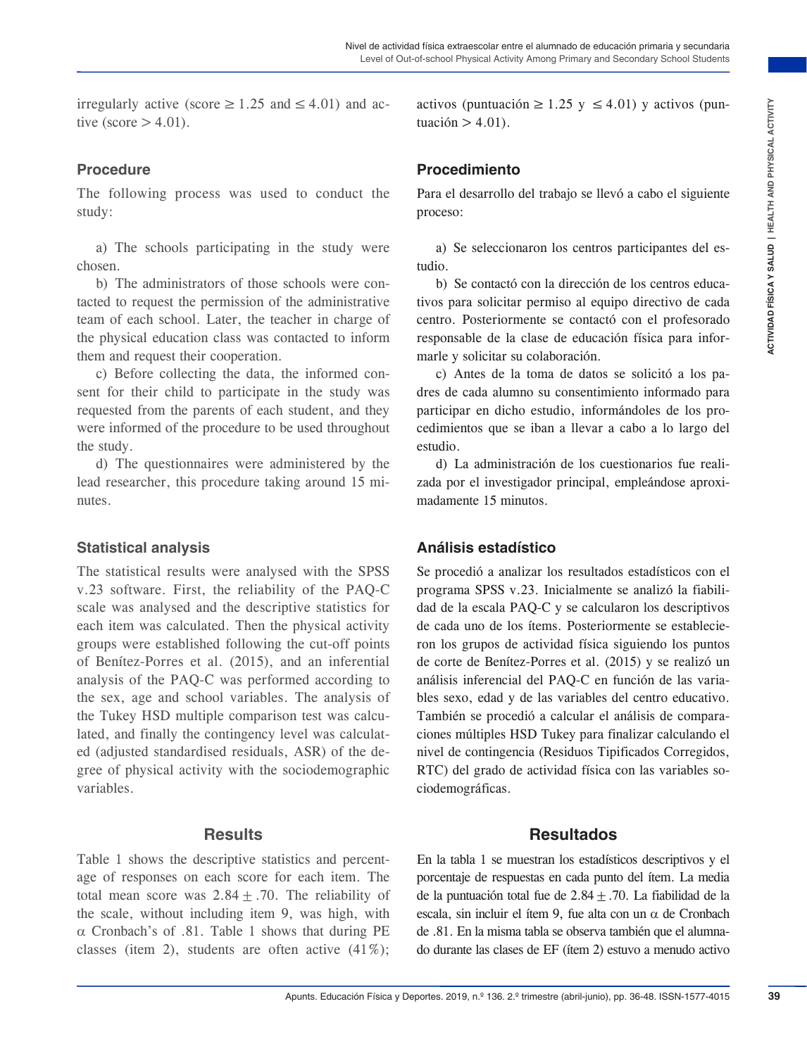irregularly active (score  $\geq 1.25$  and  $\leq 4.01$ ) and active (score  $> 4.01$ ).

#### **Procedure**

The following process was used to conduct the study:

a) The schools participating in the study were chosen.

b) The administrators of those schools were contacted to request the permission of the administrative team of each school. Later, the teacher in charge of the physical education class was contacted to inform them and request their cooperation.

c) Before collecting the data, the informed consent for their child to participate in the study was requested from the parents of each student, and they were informed of the procedure to be used throughout the study.

d) The questionnaires were administered by the lead researcher, this procedure taking around 15 minutes.

#### **Statistical analysis**

The statistical results were analysed with the SPSS v.23 software. First, the reliability of the PAQ-C scale was analysed and the descriptive statistics for each item was calculated. Then the physical activity groups were established following the cut-off points of Benítez-Porres et al. (2015), and an inferential analysis of the PAQ-C was performed according to the sex, age and school variables. The analysis of the Tukey HSD multiple comparison test was calculated, and finally the contingency level was calculated (adjusted standardised residuals, ASR) of the degree of physical activity with the sociodemographic variables.

#### **Results**

Table 1 shows the descriptive statistics and percentage of responses on each score for each item. The total mean score was  $2.84 \pm .70$ . The reliability of the scale, without including item 9, was high, with  $\alpha$  Cronbach's of .81. Table 1 shows that during PE classes (item 2), students are often active (41%);

activos (puntuación ≥1.25 y ≤4.01) y activos (puntuación  $>4.01$ ).

### **Procedimiento**

Para el desarrollo del trabajo se llevó a cabo el siguiente proceso:

a) Se seleccionaron los centros participantes del estudio.

b) Se contactó con la dirección de los centros educativos para solicitar permiso al equipo directivo de cada centro. Posteriormente se contactó con el profesorado responsable de la clase de educación física para informarle y solicitar su colaboración.

c) Antes de la toma de datos se solicitó a los padres de cada alumno su consentimiento informado para participar en dicho estudio, informándoles de los procedimientos que se iban a llevar a cabo a lo largo del estudio.

d) La administración de los cuestionarios fue realizada por el investigador principal, empleándose aproximadamente 15 minutos.

#### **Análisis estadístico**

**EVACUTE ACTES** (**ACTIVE ACTIVE ACTIVE ACTIVE ACTIVE ACTIVE ACTIVE CONDUCT THE CONDUCT CONDUCT (<b>ACTIVE ACTIVE ACTIVE ACTIVE CONDUCT**), **Proced in the study were called the study were controlled to the controlled to the s** Se procedió a analizar los resultados estadísticos con el programa SPSS v.23. Inicialmente se analizó la fiabilidad de la escala PAQ-C y se calcularon los descriptivos de cada uno de los ítems. Posteriormente se establecieron los grupos de actividad física siguiendo los puntos de corte de Benítez-Porres et al. (2015) y se realizó un análisis inferencial del PAQ-C en función de las variables sexo, edad y de las variables del centro educativo. También se procedió a calcular el análisis de comparaciones múltiples HSD Tukey para finalizar calculando el nivel de contingencia (Residuos Tipificados Corregidos, RTC) del grado de actividad física con las variables sociodemográficas.

#### **Resultados**

En la tabla 1 se muestran los estadísticos descriptivos y el porcentaje de respuestas en cada punto del ítem. La media de la puntuación total fue de  $2.84 \pm .70$ . La fiabilidad de la escala, sin incluir el ítem 9, fue alta con un  $\alpha$  de Cronbach de .81. En la misma tabla se observa también que el alumnado durante las clases de EF (ítem 2) estuvo a menudo activo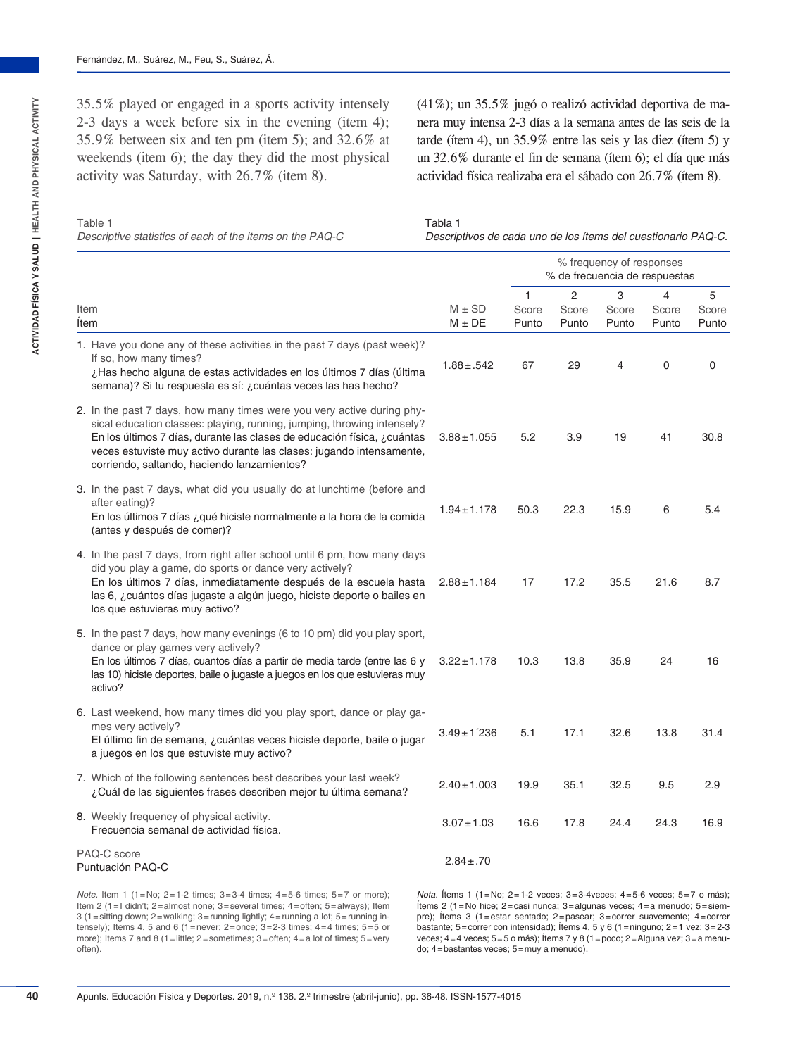35.5% played or engaged in a sports activity intensely 2-3 days a week before six in the evening (item 4); 35.9% between six and ten pm (item 5); and 32.6% at weekends (item 6); the day they did the most physical activity was Saturday, with 26.7% (item 8).

(41%); un 35.5% jugó o realizó actividad deportiva de manera muy intensa 2-3 días a la semana antes de las seis de la tarde (ítem 4), un 35.9% entre las seis y las diez (ítem 5) y un 32.6% durante el fin de semana (ítem 6); el día que más actividad física realizaba era el sábado con 26.7% (ítem 8).

#### Table 1 *Descriptive statistics of each of the items on the PAQ-C*

Tabla 1

*Descriptivos de cada uno de los ítems del cuestionario PAQ-C.*

|                                                                                                                                                                                                                                                                                                                                                     |                          | % frequency of responses<br>% de frecuencia de respuestas |                     |                     |                     |                     |  |  |
|-----------------------------------------------------------------------------------------------------------------------------------------------------------------------------------------------------------------------------------------------------------------------------------------------------------------------------------------------------|--------------------------|-----------------------------------------------------------|---------------------|---------------------|---------------------|---------------------|--|--|
| Item<br><b>Item</b>                                                                                                                                                                                                                                                                                                                                 | $M \pm SD$<br>$M \pm DE$ | 1<br>Score<br>Punto                                       | 2<br>Score<br>Punto | 3<br>Score<br>Punto | 4<br>Score<br>Punto | 5<br>Score<br>Punto |  |  |
| 1. Have you done any of these activities in the past 7 days (past week)?<br>If so, how many times?<br>¿Has hecho alguna de estas actividades en los últimos 7 días (última<br>semana)? Si tu respuesta es sí: ¿cuántas veces las has hecho?                                                                                                         | $1.88 \pm .542$          | 67                                                        | 29                  | $\overline{4}$      | $\Omega$            | $\Omega$            |  |  |
| 2. In the past 7 days, how many times were you very active during phy-<br>sical education classes: playing, running, jumping, throwing intensely?<br>En los últimos 7 días, durante las clases de educación física, ¿cuántas<br>veces estuviste muy activo durante las clases: jugando intensamente,<br>corriendo, saltando, haciendo lanzamientos? | $3.88 \pm 1.055$         | 5.2                                                       | 3.9                 | 19                  | 41                  | 30.8                |  |  |
| 3. In the past 7 days, what did you usually do at lunchtime (before and<br>after eating)?<br>En los últimos 7 días ¿qué hiciste normalmente a la hora de la comida<br>(antes y después de comer)?                                                                                                                                                   | $1.94 \pm 1.178$         | 50.3                                                      | 22.3                | 15.9                | 6                   | 5.4                 |  |  |
| 4. In the past 7 days, from right after school until 6 pm, how many days<br>did you play a game, do sports or dance very actively?<br>En los últimos 7 días, inmediatamente después de la escuela hasta<br>las 6, ¿cuántos días jugaste a algún juego, hiciste deporte o bailes en<br>los que estuvieras muy activo?                                | $2.88 \pm 1.184$         | 17                                                        | 17.2                | 35.5                | 21.6                | 8.7                 |  |  |
| 5. In the past 7 days, how many evenings (6 to 10 pm) did you play sport,<br>dance or play games very actively?<br>En los últimos 7 días, cuantos días a partir de media tarde (entre las 6 y<br>las 10) hiciste deportes, baile o jugaste a juegos en los que estuvieras muy<br>activo?                                                            | $3.22 \pm 1.178$         | 10.3                                                      | 13.8                | 35.9                | 24                  | 16                  |  |  |
| 6. Last weekend, how many times did you play sport, dance or play ga-<br>mes very actively?<br>El último fin de semana, ¿cuántas veces hiciste deporte, baile o jugar<br>a juegos en los que estuviste muy activo?                                                                                                                                  | $3.49 \pm 1.236$         | 5.1                                                       | 17.1                | 32.6                | 13.8                | 31.4                |  |  |
| 7. Which of the following sentences best describes your last week?<br>¿Cuál de las siguientes frases describen mejor tu última semana?                                                                                                                                                                                                              | $2.40 \pm 1.003$         | 19.9                                                      | 35.1                | 32.5                | 9.5                 | 2.9                 |  |  |
| 8. Weekly frequency of physical activity.<br>Frecuencia semanal de actividad física.                                                                                                                                                                                                                                                                | $3.07 \pm 1.03$          | 16.6                                                      | 17.8                | 24.4                | 24.3                | 16.9                |  |  |
| PAQ-C score<br>Puntuación PAQ-C                                                                                                                                                                                                                                                                                                                     | $2.84 \pm .70$           |                                                           |                     |                     |                     |                     |  |  |

*Note.* Item 1 (1=No; 2=1-2 times; 3=3-4 times; 4=5-6 times; 5=7 or more); Item 2 (1=I didn't; 2=almost none; 3=several times; 4=often; 5=always); Item 3 (1=sitting down; 2=walking; 3=running lightly; 4=running a lot; 5=running intensely); Items 4, 5 and 6 (1 = never; 2 = once;  $3=2-3$  times;  $4=4$  times;  $5=5$  or more); Items 7 and 8 (1=little; 2=sometimes; 3=often; 4=a lot of times; 5=very often).

*Nota.* Ítems 1 (1=No; 2=1-2 veces; 3=3-4veces; 4=5-6 veces; 5=7 o más); Ítems 2 (1=No hice; 2=casi nunca; 3=algunas veces; 4=a menudo; 5=siempre); Ítems 3 (1=estar sentado; 2=pasear; 3=correr suavemente; 4=correr bastante; 5=correr con intensidad); Ítems 4, 5 y 6 (1=ninguno; 2=1 vez; 3=2-3 veces; 4=4 veces; 5=5 o más); Ítems 7 y 8 (1=poco; 2=Alguna vez; 3=a menudo; 4=bastantes veces; 5=muy a menudo).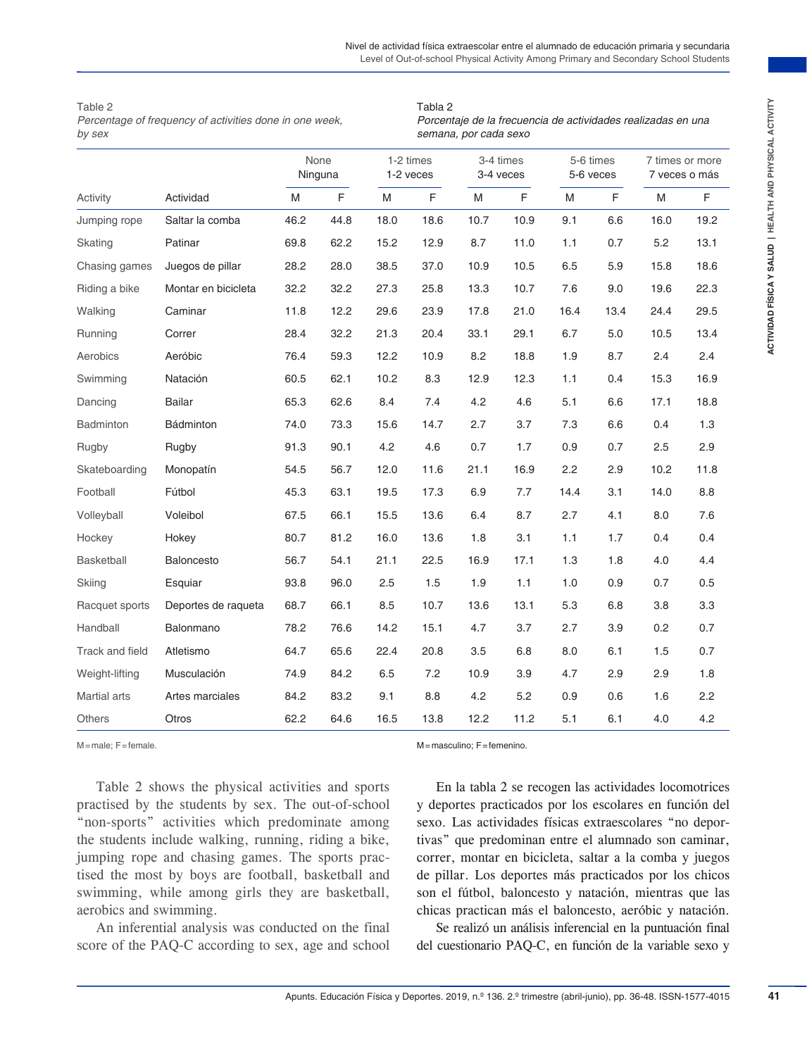| I<br>Í      |
|-------------|
| ļ<br>ï      |
| j<br>ÿ<br>í |
| :<br>:      |
| ļ<br>j      |
| í<br>i<br>İ |

| Table 2 |  |  |
|---------|--|--|
|         |  |  |

|                             |                                                                                                                                                                                                                                                                                                                                                                                                                                                                                                 | None<br>Ninguna |      |      | 1-2 times<br>1-2 veces | 3-4 times<br>3-4 veces           |      |      | 5-6 times<br>5-6 veces |                                                                                                                                                                                                                                                                                                                                                                                                                                                                                                                                                                                                        | 7 times or more<br>7 veces o más |  |
|-----------------------------|-------------------------------------------------------------------------------------------------------------------------------------------------------------------------------------------------------------------------------------------------------------------------------------------------------------------------------------------------------------------------------------------------------------------------------------------------------------------------------------------------|-----------------|------|------|------------------------|----------------------------------|------|------|------------------------|--------------------------------------------------------------------------------------------------------------------------------------------------------------------------------------------------------------------------------------------------------------------------------------------------------------------------------------------------------------------------------------------------------------------------------------------------------------------------------------------------------------------------------------------------------------------------------------------------------|----------------------------------|--|
| Activity                    | Actividad                                                                                                                                                                                                                                                                                                                                                                                                                                                                                       | M               | F    | M    | F                      | M                                | E    | M    | E                      | M                                                                                                                                                                                                                                                                                                                                                                                                                                                                                                                                                                                                      | F                                |  |
| Jumping rope                | Saltar la comba                                                                                                                                                                                                                                                                                                                                                                                                                                                                                 | 46.2            | 44.8 | 18.0 | 18.6                   | 10.7                             | 10.9 | 9.1  | 6.6                    | 16.0                                                                                                                                                                                                                                                                                                                                                                                                                                                                                                                                                                                                   | 19.2                             |  |
| Skating                     | Patinar                                                                                                                                                                                                                                                                                                                                                                                                                                                                                         | 69.8            | 62.2 | 15.2 | 12.9                   | 8.7                              | 11.0 | 1.1  | 0.7                    | 5.2                                                                                                                                                                                                                                                                                                                                                                                                                                                                                                                                                                                                    | 13.1                             |  |
| Chasing games               | Juegos de pillar                                                                                                                                                                                                                                                                                                                                                                                                                                                                                | 28.2            | 28.0 | 38.5 | 37.0                   | 10.9                             | 10.5 | 6.5  | 5.9                    | 15.8                                                                                                                                                                                                                                                                                                                                                                                                                                                                                                                                                                                                   | 18.6                             |  |
| Riding a bike               | Montar en bicicleta                                                                                                                                                                                                                                                                                                                                                                                                                                                                             | 32.2            | 32.2 | 27.3 | 25.8                   | 13.3                             | 10.7 | 7.6  | 9.0                    | 19.6                                                                                                                                                                                                                                                                                                                                                                                                                                                                                                                                                                                                   | 22.3                             |  |
| Walking                     | Caminar                                                                                                                                                                                                                                                                                                                                                                                                                                                                                         | 11.8            | 12.2 | 29.6 | 23.9                   | 17.8                             | 21.0 | 16.4 | 13.4                   | 24.4                                                                                                                                                                                                                                                                                                                                                                                                                                                                                                                                                                                                   | 29.5                             |  |
| Running                     | Correr                                                                                                                                                                                                                                                                                                                                                                                                                                                                                          | 28.4            | 32.2 | 21.3 | 20.4                   | 33.1                             | 29.1 | 6.7  | 5.0                    | 10.5                                                                                                                                                                                                                                                                                                                                                                                                                                                                                                                                                                                                   | 13.4                             |  |
| Aerobics                    | Aeróbic                                                                                                                                                                                                                                                                                                                                                                                                                                                                                         | 76.4            | 59.3 | 12.2 | 10.9                   | 8.2                              | 18.8 | 1.9  | 8.7                    | 2.4                                                                                                                                                                                                                                                                                                                                                                                                                                                                                                                                                                                                    | 2.4                              |  |
| Swimming                    | Natación                                                                                                                                                                                                                                                                                                                                                                                                                                                                                        | 60.5            | 62.1 | 10.2 | 8.3                    | 12.9                             | 12.3 | 1.1  | 0.4                    | 15.3                                                                                                                                                                                                                                                                                                                                                                                                                                                                                                                                                                                                   | 16.9                             |  |
| Dancing                     | <b>Bailar</b>                                                                                                                                                                                                                                                                                                                                                                                                                                                                                   | 65.3            | 62.6 | 8.4  | 7.4                    | 4.2                              | 4.6  | 5.1  | 6.6                    | 17.1                                                                                                                                                                                                                                                                                                                                                                                                                                                                                                                                                                                                   | 18.8                             |  |
| <b>Badminton</b>            | Bádminton                                                                                                                                                                                                                                                                                                                                                                                                                                                                                       | 74.0            | 73.3 | 15.6 | 14.7                   | 2.7                              | 3.7  | 7.3  | 6.6                    | 0.4                                                                                                                                                                                                                                                                                                                                                                                                                                                                                                                                                                                                    | 1.3                              |  |
| Rugby                       | Rugby                                                                                                                                                                                                                                                                                                                                                                                                                                                                                           | 91.3            | 90.1 | 4.2  | 4.6                    | 0.7                              | 1.7  | 0.9  | 0.7                    | 2.5                                                                                                                                                                                                                                                                                                                                                                                                                                                                                                                                                                                                    | 2.9                              |  |
| Skateboarding               | Monopatín                                                                                                                                                                                                                                                                                                                                                                                                                                                                                       | 54.5            | 56.7 | 12.0 | 11.6                   | 21.1                             | 16.9 | 2.2  | 2.9                    | 10.2                                                                                                                                                                                                                                                                                                                                                                                                                                                                                                                                                                                                   | 11.8                             |  |
| Football                    | Fútbol                                                                                                                                                                                                                                                                                                                                                                                                                                                                                          | 45.3            | 63.1 | 19.5 | 17.3                   | 6.9                              | 7.7  | 14.4 | 3.1                    | 14.0                                                                                                                                                                                                                                                                                                                                                                                                                                                                                                                                                                                                   | 8.8                              |  |
| Volleyball                  | Voleibol                                                                                                                                                                                                                                                                                                                                                                                                                                                                                        | 67.5            | 66.1 | 15.5 | 13.6                   | 6.4                              | 8.7  | 2.7  | 4.1                    | 8.0                                                                                                                                                                                                                                                                                                                                                                                                                                                                                                                                                                                                    | 7.6                              |  |
| Hockey                      | Hokey                                                                                                                                                                                                                                                                                                                                                                                                                                                                                           | 80.7            | 81.2 | 16.0 | 13.6                   | 1.8                              | 3.1  | 1.1  | 1.7                    | 0.4                                                                                                                                                                                                                                                                                                                                                                                                                                                                                                                                                                                                    | 0.4                              |  |
| <b>Basketball</b>           | <b>Baloncesto</b>                                                                                                                                                                                                                                                                                                                                                                                                                                                                               | 56.7            | 54.1 | 21.1 | 22.5                   | 16.9                             | 17.1 | 1.3  | 1.8                    | 4.0                                                                                                                                                                                                                                                                                                                                                                                                                                                                                                                                                                                                    | 4.4                              |  |
| Skiing                      | Esquiar                                                                                                                                                                                                                                                                                                                                                                                                                                                                                         | 93.8            | 96.0 | 2.5  | 1.5                    | 1.9                              | 1.1  | 1.0  | 0.9                    | 0.7                                                                                                                                                                                                                                                                                                                                                                                                                                                                                                                                                                                                    | 0.5                              |  |
| Racquet sports              | Deportes de raqueta                                                                                                                                                                                                                                                                                                                                                                                                                                                                             | 68.7            | 66.1 | 8.5  | 10.7                   | 13.6                             | 13.1 | 5.3  | 6.8                    | 3.8                                                                                                                                                                                                                                                                                                                                                                                                                                                                                                                                                                                                    | 3.3                              |  |
| Handball                    | <b>Balonmano</b>                                                                                                                                                                                                                                                                                                                                                                                                                                                                                | 78.2            | 76.6 | 14.2 | 15.1                   | 4.7                              | 3.7  | 2.7  | 3.9                    | 0.2                                                                                                                                                                                                                                                                                                                                                                                                                                                                                                                                                                                                    | 0.7                              |  |
| Track and field             | Atletismo                                                                                                                                                                                                                                                                                                                                                                                                                                                                                       | 64.7            | 65.6 | 22.4 | 20.8                   | 3.5                              | 6.8  | 8.0  | 6.1                    | 1.5                                                                                                                                                                                                                                                                                                                                                                                                                                                                                                                                                                                                    | 0.7                              |  |
| Weight-lifting              | Musculación                                                                                                                                                                                                                                                                                                                                                                                                                                                                                     | 74.9            | 84.2 | 6.5  | 7.2                    | 10.9                             | 3.9  | 4.7  | 2.9                    | 2.9                                                                                                                                                                                                                                                                                                                                                                                                                                                                                                                                                                                                    | 1.8                              |  |
| Martial arts                | Artes marciales                                                                                                                                                                                                                                                                                                                                                                                                                                                                                 | 84.2            | 83.2 | 9.1  | 8.8                    | 4.2                              | 5.2  | 0.9  | 0.6                    | 1.6                                                                                                                                                                                                                                                                                                                                                                                                                                                                                                                                                                                                    | 2.2                              |  |
| Others                      | Otros                                                                                                                                                                                                                                                                                                                                                                                                                                                                                           | 62.2            | 64.6 | 16.5 | 13.8                   | 12.2                             | 11.2 | 5.1  | 6.1                    | 4.0                                                                                                                                                                                                                                                                                                                                                                                                                                                                                                                                                                                                    | 4.2                              |  |
| $M = male$ ; $F = female$ . |                                                                                                                                                                                                                                                                                                                                                                                                                                                                                                 |                 |      |      |                        | $M =$ masculino; $F =$ femenino. |      |      |                        |                                                                                                                                                                                                                                                                                                                                                                                                                                                                                                                                                                                                        |                                  |  |
| aerobics and swimming.      | Table 2 shows the physical activities and sports<br>practised by the students by sex. The out-of-school<br>"non-sports" activities which predominate among<br>the students include walking, running, riding a bike,<br>jumping rope and chasing games. The sports prac-<br>tised the most by boys are football, basketball and<br>swimming, while among girls they are basketball,<br>An inferential analysis was conducted on the final<br>score of the PAQ-C according to sex, age and school |                 |      |      |                        |                                  |      |      |                        | En la tabla 2 se recogen las actividades locomotrices<br>y deportes practicados por los escolares en función del<br>sexo. Las actividades físicas extraescolares "no depor-<br>tivas" que predominan entre el alumnado son caminar,<br>correr, montar en bicicleta, saltar a la comba y juegos<br>de pillar. Los deportes más practicados por los chicos<br>son el fútbol, baloncesto y natación, mientras que las<br>chicas practican más el baloncesto, aeróbic y natación.<br>Se realizó un análisis inferencial en la puntuación final<br>del cuestionario PAQ-C, en función de la variable sexo y |                                  |  |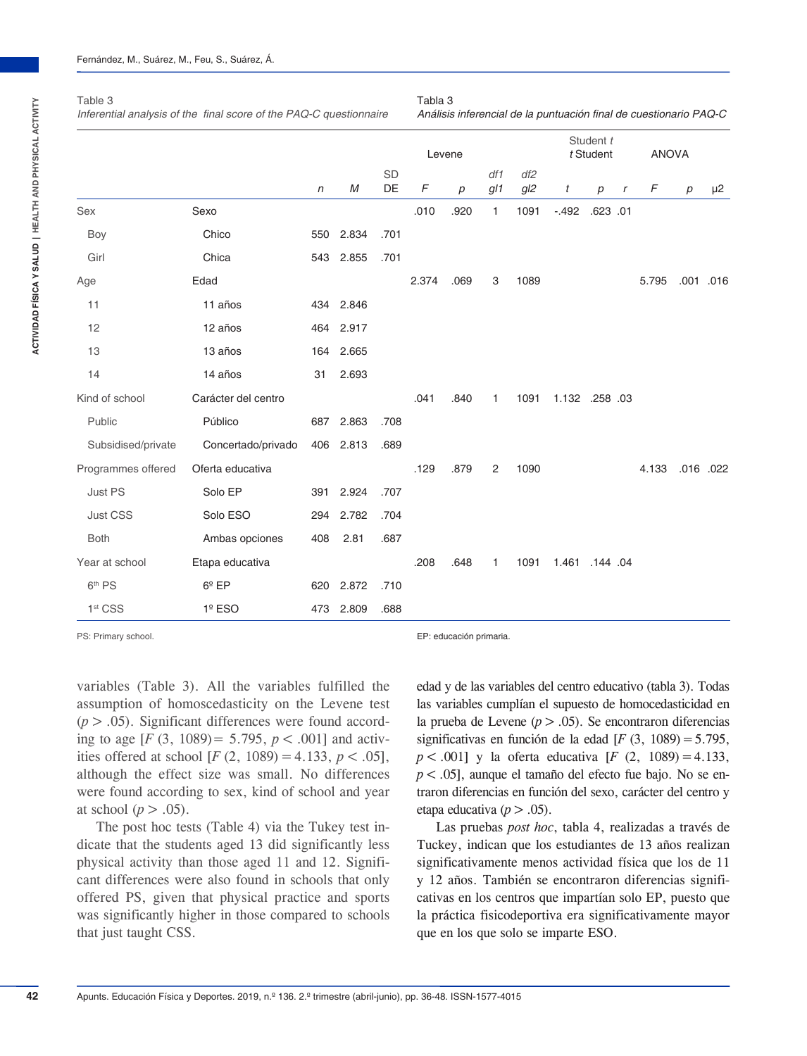| Inferential analysis of the final score of the PAQ-C questionnaire | Análisis inferencial de la puntuación final de cuestionario PAQ-C |            |           |          |        |                  |              |            |                |                        |        |              |                  |           |
|--------------------------------------------------------------------|-------------------------------------------------------------------|------------|-----------|----------|--------|------------------|--------------|------------|----------------|------------------------|--------|--------------|------------------|-----------|
|                                                                    |                                                                   |            |           |          | Levene |                  |              |            |                | Student t<br>t Student |        | <b>ANOVA</b> |                  |           |
|                                                                    |                                                                   | $\sqrt{n}$ | M         | SD<br>DE | F      | $\boldsymbol{p}$ | df1<br>gl1   | df2<br>gl2 | t              | $\boldsymbol{p}$       | $\, r$ | F            | $\boldsymbol{p}$ | $\mu$ 2   |
| Sex                                                                | Sexo                                                              |            |           |          | .010   | .920             | $\mathbf{1}$ | 1091       | $-492$         | .623 .01               |        |              |                  |           |
| Boy                                                                | Chico                                                             |            | 550 2.834 | .701     |        |                  |              |            |                |                        |        |              |                  |           |
| Girl                                                               | Chica                                                             |            | 543 2.855 | .701     |        |                  |              |            |                |                        |        |              |                  |           |
| Age                                                                | Edad                                                              |            |           |          | 2.374  | .069             | 3            | 1089       |                |                        |        | 5.795        |                  | .001 .016 |
| 11                                                                 | 11 años                                                           |            | 434 2.846 |          |        |                  |              |            |                |                        |        |              |                  |           |
| 12                                                                 | 12 años                                                           |            | 464 2.917 |          |        |                  |              |            |                |                        |        |              |                  |           |
| 13                                                                 | 13 años                                                           |            | 164 2.665 |          |        |                  |              |            |                |                        |        |              |                  |           |
| 14                                                                 | 14 años                                                           | 31         | 2.693     |          |        |                  |              |            |                |                        |        |              |                  |           |
| Kind of school                                                     | Carácter del centro                                               |            |           |          | .041   | .840             | 1            | 1091       | 1.132 .258 .03 |                        |        |              |                  |           |
| Public                                                             | Público                                                           | 687        | 2.863     | .708     |        |                  |              |            |                |                        |        |              |                  |           |
| Subsidised/private                                                 | Concertado/privado                                                |            | 406 2.813 | .689     |        |                  |              |            |                |                        |        |              |                  |           |
| Programmes offered                                                 | Oferta educativa                                                  |            |           |          | .129   | .879             | 2            | 1090       |                |                        |        | 4.133        |                  | .016 .022 |
| Just PS                                                            | Solo EP                                                           | 391        | 2.924     | .707     |        |                  |              |            |                |                        |        |              |                  |           |
| Just CSS                                                           | Solo ESO                                                          |            | 294 2.782 | .704     |        |                  |              |            |                |                        |        |              |                  |           |
| <b>Both</b>                                                        | Ambas opciones                                                    | 408        | 2.81      | .687     |        |                  |              |            |                |                        |        |              |                  |           |
| Year at school                                                     | Etapa educativa                                                   |            |           |          | .208   | .648             | 1            | 1091       | 1.461 .144 .04 |                        |        |              |                  |           |
| 6 <sup>th</sup> PS                                                 | $6^{\circ}$ EP                                                    | 620        | 2.872     | .710     |        |                  |              |            |                |                        |        |              |                  |           |
| 1 <sup>st</sup> CSS                                                | $1°$ ESO                                                          |            | 473 2.809 | .688     |        |                  |              |            |                |                        |        |              |                  |           |

Tabla 3

# Table 3

PS: Primary school. EP: educación primaria.

variables (Table 3). All the variables fulfilled the assumption of homoscedasticity on the Levene test  $(p > .05)$ . Significant differences were found according to age  $[F (3, 1089) = 5.795, p < .001]$  and activities offered at school  $[F (2, 1089) = 4.133, p < .05]$ , although the effect size was small. No differences were found according to sex, kind of school and year at school ( $p > .05$ ).

The post hoc tests (Table 4) via the Tukey test indicate that the students aged 13 did significantly less physical activity than those aged 11 and 12. Significant differences were also found in schools that only offered PS, given that physical practice and sports was significantly higher in those compared to schools that just taught CSS.

edad y de las variables del centro educativo (tabla 3). Todas las variables cumplían el supuesto de homocedasticidad en la prueba de Levene  $(p > .05)$ . Se encontraron diferencias significativas en función de la edad [ $F$  (3, 1089) = 5.795, *p*<.001] y la oferta educativa [*F* (2, 1089)=4.133, *p*<.05], aunque el tamaño del efecto fue bajo. No se entraron diferencias en función del sexo, carácter del centro y etapa educativa ( $p > .05$ ).

Las pruebas *post hoc*, tabla 4, realizadas a través de Tuckey, indican que los estudiantes de 13 años realizan significativamente menos actividad física que los de 11 y 12 años. También se encontraron diferencias significativas en los centros que impartían solo EP, puesto que la práctica fisicodeportiva era significativamente mayor que en los que solo se imparte ESO.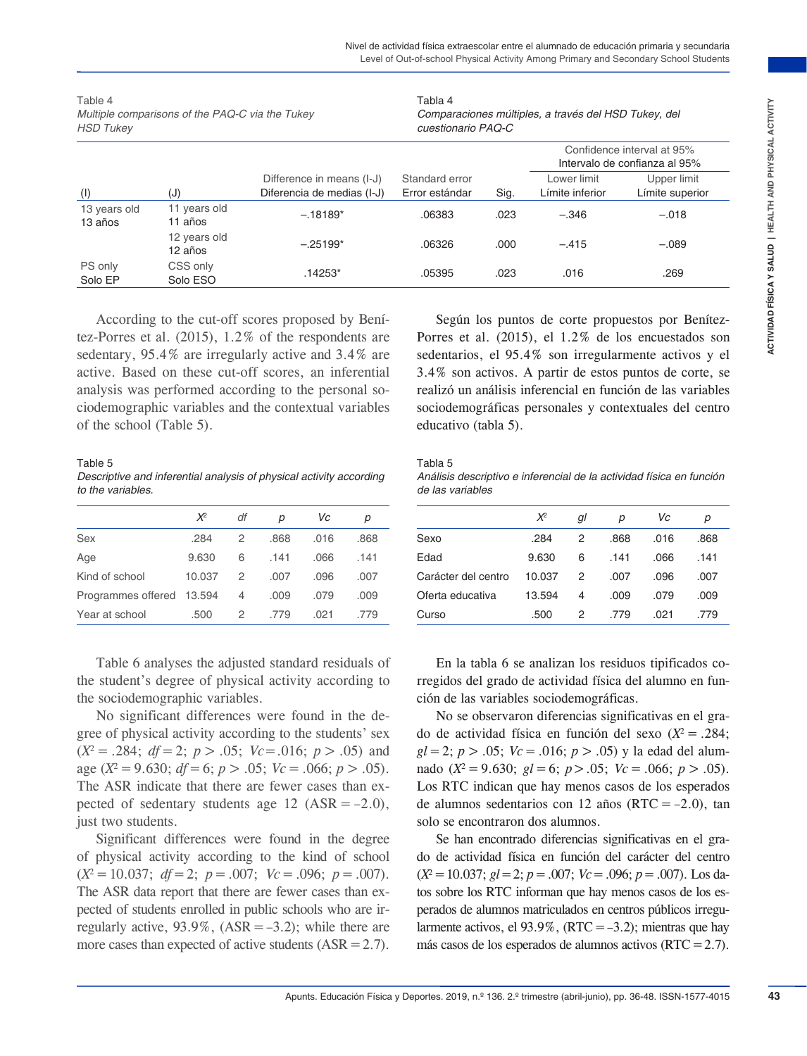| Confidence interval at 95%<br>Intervalo de confianza al 95%<br>Lower limit<br>Difference in means (I-J)<br>Standard error<br>Upper limit<br>Diferencia de medias (I-J)<br>Error estándar<br>Límite inferior<br>Límite superior<br>(J)<br>Sig.<br>(1)<br>11 years old<br>13 years old<br>$-.18189*$<br>.06383<br>.023<br>$-.346$<br>$-.018$<br>11 años<br>13 años<br>12 years old<br>$-.25199*$<br>.06326<br>.000<br>$-.415$<br>$-.089$<br>12 años<br>PS only<br>CSS only<br>.14253*<br>.023<br>.05395<br>.016<br>.269<br>Solo EP<br>Solo ESO<br>According to the cut-off scores proposed by Beni-<br>Según los puntos de corte propuestos por Benítez-<br>Porres et al. (2015), el 1.2% de los encuestados son<br>sedentarios, el 95.4% son irregularmente activos y el<br>3.4% son activos. A partir de estos puntos de corte, se<br>realizó un análisis inferencial en función de las variables<br>sociodemográficas personales y contextuales del centro<br>educativo (tabla 5).<br>Tabla 5<br>Análisis descriptivo e inferencial de la actividad física en función<br>de las variables<br>$X^2$<br>df<br>$\chi^2$<br>Vc<br>gl<br>Vc<br>р<br>р<br>р<br>р<br>2<br>.284<br>2<br>.868<br>.016<br>.868<br>Sexo<br>.284<br>.868<br>.016<br>.868<br>.066<br>.141<br>Edad<br>9.630<br>6<br>.141<br>.141<br>9.630<br>6<br>.141<br>.066<br>.007<br>.096<br>.007<br>Carácter del centro<br>10.037<br>2<br>.007<br>.096<br>.007<br>10.037<br>2<br>.009<br>.009<br>.009<br>Oferta educativa<br>.009<br>.079<br>4<br>.079<br>13.594<br>4<br>.021<br>.779<br>.021<br>.779<br>.500<br>2<br>.779<br>Curso<br>.500<br>2<br>.779<br>Table 6 analyses the adjusted standard residuals of<br>En la tabla 6 se analizan los residuos tipificados co-<br>rregidos del grado de actividad física del alumno en fun-<br>ción de las variables sociodemográficas.<br>No significant differences were found in the de-<br>No se observaron diferencias significativas en el gra-<br>do de actividad física en función del sexo ( $X^2 = .284$ ;<br>$gl = 2$ ; $p > .05$ ; $Vc = .016$ ; $p > .05$ ) y la edad del alum-<br>nado ( $X^2 = 9.630$ ; $gl = 6$ ; $p > .05$ ; $Vc = .066$ ; $p > .05$ ).<br>Los RTC indican que hay menos casos de los esperados<br>de alumnos sedentarios con 12 años (RTC = $-2.0$ ), tan<br>solo se encontraron dos alumnos.<br>Se han encontrado diferencias significativas en el gra-<br>Significant differences were found in the degree<br>do de actividad física en función del carácter del centro<br>$(X^2 = 10.037; \, gl = 2; \, p = .007; \, Vc = .096; \, p = .007)$ . Los da-<br>tos sobre los RTC informan que hay menos casos de los es- |                                                         | Table 4<br>Multiple comparisons of the PAQ-C via the Tukey<br><b>HSD Tukey</b> |  |  |  |  |  | Tabla 4<br>Comparaciones múltiples, a través del HSD Tukey, del<br>cuestionario PAQ-C |  |  |  |
|---------------------------------------------------------------------------------------------------------------------------------------------------------------------------------------------------------------------------------------------------------------------------------------------------------------------------------------------------------------------------------------------------------------------------------------------------------------------------------------------------------------------------------------------------------------------------------------------------------------------------------------------------------------------------------------------------------------------------------------------------------------------------------------------------------------------------------------------------------------------------------------------------------------------------------------------------------------------------------------------------------------------------------------------------------------------------------------------------------------------------------------------------------------------------------------------------------------------------------------------------------------------------------------------------------------------------------------------------------------------------------------------------------------------------------------------------------------------------------------------------------------------------------------------------------------------------------------------------------------------------------------------------------------------------------------------------------------------------------------------------------------------------------------------------------------------------------------------------------------------------------------------------------------------------------------------------------------------------------------------------------------------------------------------------------------------------------------------------------------------------------------------------------------------------------------------------------------------------------------------------------------------------------------------------------------------------------------------------------------------------------------------------------------------------------------------------------------------------------------------------------------------------------------------------------------------------------------------------------------------------------------------------------------|---------------------------------------------------------|--------------------------------------------------------------------------------|--|--|--|--|--|---------------------------------------------------------------------------------------|--|--|--|
| tez-Porres et al. $(2015)$ , 1.2% of the respondents are<br>sedentary, 95.4% are irregularly active and 3.4% are<br>active. Based on these cut-off scores, an inferential<br>analysis was performed according to the personal so-<br>ciodemographic variables and the contextual variables<br>of the school (Table 5).<br>Table 5<br>Descriptive and inferential analysis of physical activity according<br>to the variables.<br>Sex<br>Age<br>Kind of school<br>Programmes offered 13.594<br>Year at school<br>the student's degree of physical activity according to<br>the sociodemographic variables.<br>gree of physical activity according to the students' sex<br>$(X^2 = .284; df = 2; p > .05; Vc = .016; p > .05)$ and<br>age ( $X^2 = 9.630$ ; $df = 6$ ; $p > .05$ ; $Vc = .066$ ; $p > .05$ ).<br>The ASR indicate that there are fewer cases than ex-<br>pected of sedentary students age 12 ( $ASR = -2.0$ ),<br>just two students.<br>of physical activity according to the kind of school<br>$(X^2 = 10.037; df = 2; p = .007; Vc = .096; p = .007).$                                                                                                                                                                                                                                                                                                                                                                                                                                                                                                                                                                                                                                                                                                                                                                                                                                                                                                                                                                                                                                                                                                                                                                                                                                                                                                                                                                                                                                                                                                                                                                                        |                                                         |                                                                                |  |  |  |  |  |                                                                                       |  |  |  |
|                                                                                                                                                                                                                                                                                                                                                                                                                                                                                                                                                                                                                                                                                                                                                                                                                                                                                                                                                                                                                                                                                                                                                                                                                                                                                                                                                                                                                                                                                                                                                                                                                                                                                                                                                                                                                                                                                                                                                                                                                                                                                                                                                                                                                                                                                                                                                                                                                                                                                                                                                                                                                                                               |                                                         |                                                                                |  |  |  |  |  |                                                                                       |  |  |  |
|                                                                                                                                                                                                                                                                                                                                                                                                                                                                                                                                                                                                                                                                                                                                                                                                                                                                                                                                                                                                                                                                                                                                                                                                                                                                                                                                                                                                                                                                                                                                                                                                                                                                                                                                                                                                                                                                                                                                                                                                                                                                                                                                                                                                                                                                                                                                                                                                                                                                                                                                                                                                                                                               |                                                         |                                                                                |  |  |  |  |  |                                                                                       |  |  |  |
|                                                                                                                                                                                                                                                                                                                                                                                                                                                                                                                                                                                                                                                                                                                                                                                                                                                                                                                                                                                                                                                                                                                                                                                                                                                                                                                                                                                                                                                                                                                                                                                                                                                                                                                                                                                                                                                                                                                                                                                                                                                                                                                                                                                                                                                                                                                                                                                                                                                                                                                                                                                                                                                               |                                                         |                                                                                |  |  |  |  |  |                                                                                       |  |  |  |
|                                                                                                                                                                                                                                                                                                                                                                                                                                                                                                                                                                                                                                                                                                                                                                                                                                                                                                                                                                                                                                                                                                                                                                                                                                                                                                                                                                                                                                                                                                                                                                                                                                                                                                                                                                                                                                                                                                                                                                                                                                                                                                                                                                                                                                                                                                                                                                                                                                                                                                                                                                                                                                                               |                                                         |                                                                                |  |  |  |  |  |                                                                                       |  |  |  |
|                                                                                                                                                                                                                                                                                                                                                                                                                                                                                                                                                                                                                                                                                                                                                                                                                                                                                                                                                                                                                                                                                                                                                                                                                                                                                                                                                                                                                                                                                                                                                                                                                                                                                                                                                                                                                                                                                                                                                                                                                                                                                                                                                                                                                                                                                                                                                                                                                                                                                                                                                                                                                                                               |                                                         |                                                                                |  |  |  |  |  |                                                                                       |  |  |  |
|                                                                                                                                                                                                                                                                                                                                                                                                                                                                                                                                                                                                                                                                                                                                                                                                                                                                                                                                                                                                                                                                                                                                                                                                                                                                                                                                                                                                                                                                                                                                                                                                                                                                                                                                                                                                                                                                                                                                                                                                                                                                                                                                                                                                                                                                                                                                                                                                                                                                                                                                                                                                                                                               |                                                         |                                                                                |  |  |  |  |  |                                                                                       |  |  |  |
|                                                                                                                                                                                                                                                                                                                                                                                                                                                                                                                                                                                                                                                                                                                                                                                                                                                                                                                                                                                                                                                                                                                                                                                                                                                                                                                                                                                                                                                                                                                                                                                                                                                                                                                                                                                                                                                                                                                                                                                                                                                                                                                                                                                                                                                                                                                                                                                                                                                                                                                                                                                                                                                               |                                                         |                                                                                |  |  |  |  |  |                                                                                       |  |  |  |
|                                                                                                                                                                                                                                                                                                                                                                                                                                                                                                                                                                                                                                                                                                                                                                                                                                                                                                                                                                                                                                                                                                                                                                                                                                                                                                                                                                                                                                                                                                                                                                                                                                                                                                                                                                                                                                                                                                                                                                                                                                                                                                                                                                                                                                                                                                                                                                                                                                                                                                                                                                                                                                                               |                                                         |                                                                                |  |  |  |  |  |                                                                                       |  |  |  |
|                                                                                                                                                                                                                                                                                                                                                                                                                                                                                                                                                                                                                                                                                                                                                                                                                                                                                                                                                                                                                                                                                                                                                                                                                                                                                                                                                                                                                                                                                                                                                                                                                                                                                                                                                                                                                                                                                                                                                                                                                                                                                                                                                                                                                                                                                                                                                                                                                                                                                                                                                                                                                                                               |                                                         |                                                                                |  |  |  |  |  |                                                                                       |  |  |  |
|                                                                                                                                                                                                                                                                                                                                                                                                                                                                                                                                                                                                                                                                                                                                                                                                                                                                                                                                                                                                                                                                                                                                                                                                                                                                                                                                                                                                                                                                                                                                                                                                                                                                                                                                                                                                                                                                                                                                                                                                                                                                                                                                                                                                                                                                                                                                                                                                                                                                                                                                                                                                                                                               |                                                         |                                                                                |  |  |  |  |  |                                                                                       |  |  |  |
|                                                                                                                                                                                                                                                                                                                                                                                                                                                                                                                                                                                                                                                                                                                                                                                                                                                                                                                                                                                                                                                                                                                                                                                                                                                                                                                                                                                                                                                                                                                                                                                                                                                                                                                                                                                                                                                                                                                                                                                                                                                                                                                                                                                                                                                                                                                                                                                                                                                                                                                                                                                                                                                               |                                                         |                                                                                |  |  |  |  |  |                                                                                       |  |  |  |
|                                                                                                                                                                                                                                                                                                                                                                                                                                                                                                                                                                                                                                                                                                                                                                                                                                                                                                                                                                                                                                                                                                                                                                                                                                                                                                                                                                                                                                                                                                                                                                                                                                                                                                                                                                                                                                                                                                                                                                                                                                                                                                                                                                                                                                                                                                                                                                                                                                                                                                                                                                                                                                                               |                                                         |                                                                                |  |  |  |  |  |                                                                                       |  |  |  |
| pected of students enrolled in public schools who are ir-<br>perados de alumnos matriculados en centros públicos irregu-<br>regularly active, $93.9\%$ , $(ASR = -3.2)$ ; while there are<br>larmente activos, el 93.9%, (RTC = $-3.2$ ); mientras que hay                                                                                                                                                                                                                                                                                                                                                                                                                                                                                                                                                                                                                                                                                                                                                                                                                                                                                                                                                                                                                                                                                                                                                                                                                                                                                                                                                                                                                                                                                                                                                                                                                                                                                                                                                                                                                                                                                                                                                                                                                                                                                                                                                                                                                                                                                                                                                                                                    | The ASR data report that there are fewer cases than ex- |                                                                                |  |  |  |  |  |                                                                                       |  |  |  |

|                           | $X^2$  | df | р    | Vc   | р    |
|---------------------------|--------|----|------|------|------|
| Sex                       | .284   | 2  | .868 | .016 | .868 |
| Age                       | 9.630  | 6  | .141 | .066 | .141 |
| Kind of school            | 10.037 | 2  | .007 | .096 | .007 |
| Programmes offered 13.594 |        | 4  | .009 | .079 | .009 |
| Year at school            | .500   | 2  | .779 | .021 | .779 |

#### Tabla 5

*Análisis descriptivo e inferencial de la actividad física en función de las variables*

|                     | $\chi^2$ | gl | р    | Vc   | р    |
|---------------------|----------|----|------|------|------|
| Sexo                | .284     | 2  | .868 | .016 | .868 |
| Edad                | 9.630    | 6  | .141 | .066 | .141 |
| Carácter del centro | 10.037   | 2  | .007 | .096 | .007 |
| Oferta educativa    | 13.594   | 4  | .009 | .079 | .009 |
| Curso               | .500     | 2  | .779 | .021 | .779 |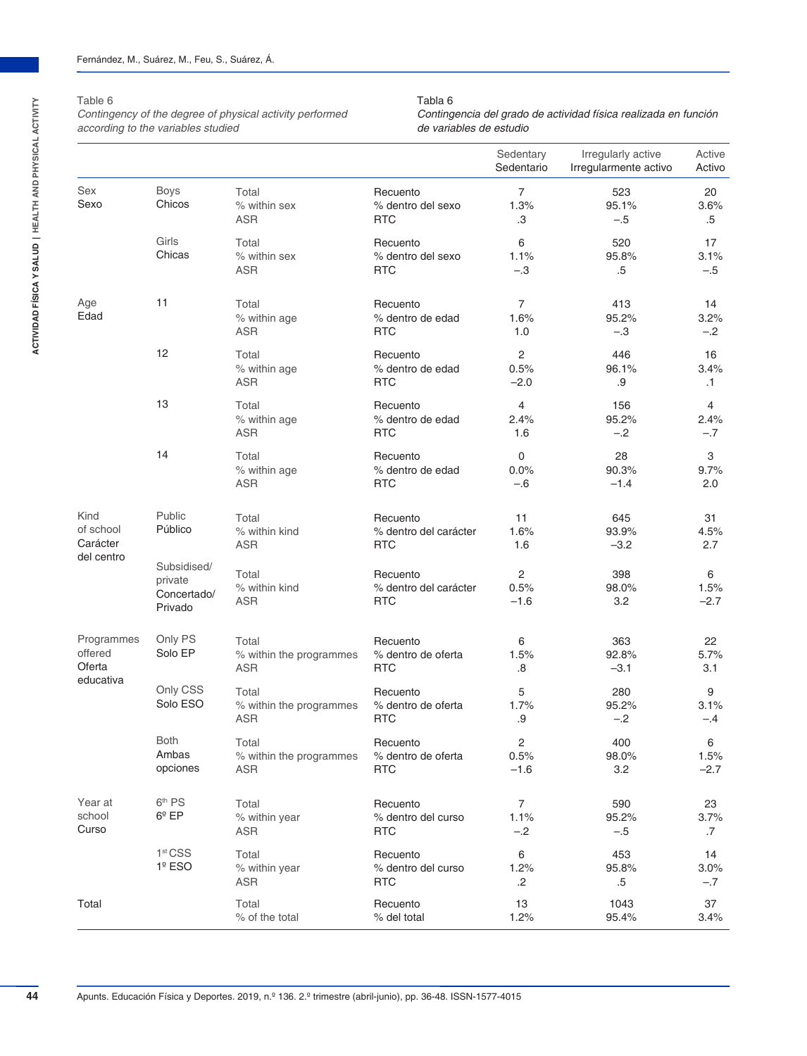#### Table 6

*Contingency of the degree of physical activity performed according to the variables studied*

#### Tabla 6

*Contingencia del grado de actividad física realizada en función de variables de estudio*

|                                 |                                                  |                                                |                                                 | Sedentary<br>Sedentario                   | Irregularly active<br>Irregularmente activo | Active<br>Activo        |
|---------------------------------|--------------------------------------------------|------------------------------------------------|-------------------------------------------------|-------------------------------------------|---------------------------------------------|-------------------------|
| Sex<br>Sexo                     | <b>Boys</b><br>Chicos                            | Total<br>% within sex<br><b>ASR</b>            | Recuento<br>% dentro del sexo<br><b>RTC</b>     | $\overline{7}$<br>1.3%<br>.3              | 523<br>95.1%<br>$-.5$                       | 20<br>3.6%<br>$.5\,$    |
|                                 | Girls<br>Chicas                                  | Total<br>% within sex<br><b>ASR</b>            | Recuento<br>% dentro del sexo<br><b>RTC</b>     | 6<br>1.1%<br>$-.3$                        | 520<br>95.8%<br>.5                          | 17<br>3.1%<br>$-.5$     |
| Age<br>Edad                     | 11                                               | Total<br>% within age<br><b>ASR</b>            | Recuento<br>% dentro de edad<br><b>RTC</b>      | 7<br>1.6%<br>1.0                          | 413<br>95.2%<br>$-.3$                       | 14<br>3.2%<br>$-.2$     |
|                                 | 12                                               | Total<br>% within age<br><b>ASR</b>            | Recuento<br>% dentro de edad<br><b>RTC</b>      | $\overline{\mathbf{c}}$<br>0.5%<br>$-2.0$ | 446<br>96.1%<br>.9                          | 16<br>3.4%<br>$\cdot$ 1 |
|                                 | 13                                               | Total<br>% within age<br><b>ASR</b>            | Recuento<br>% dentro de edad<br><b>RTC</b>      | 4<br>2.4%<br>1.6                          | 156<br>95.2%<br>$-.2$                       | 4<br>2.4%<br>$-.7$      |
|                                 | 14                                               | Total<br>% within age<br><b>ASR</b>            | Recuento<br>% dentro de edad<br><b>RTC</b>      | 0<br>0.0%<br>$-.6$                        | 28<br>90.3%<br>$-1.4$                       | 3<br>9.7%<br>2.0        |
| Kind<br>of school<br>Carácter   | Public<br>Público                                | Total<br>% within kind<br><b>ASR</b>           | Recuento<br>% dentro del carácter<br><b>RTC</b> | 11<br>1.6%<br>1.6                         | 645<br>93.9%<br>$-3.2$                      | 31<br>4.5%<br>2.7       |
| del centro                      | Subsidised/<br>private<br>Concertado/<br>Privado | Total<br>% within kind<br>ASR                  | Recuento<br>% dentro del carácter<br><b>RTC</b> | 2<br>0.5%<br>$-1.6$                       | 398<br>98.0%<br>3.2                         | 6<br>1.5%<br>$-2.7$     |
| Programmes<br>offered<br>Oferta | Only PS<br>Solo EP                               | Total<br>% within the programmes<br><b>ASR</b> | Recuento<br>% dentro de oferta<br><b>RTC</b>    | 6<br>1.5%<br>.8                           | 363<br>92.8%<br>$-3.1$                      | 22<br>5.7%<br>3.1       |
| educativa                       | Only CSS<br>Solo ESO                             | Total<br>% within the programmes<br><b>ASR</b> | Recuento<br>% dentro de oferta<br><b>RTC</b>    | 5<br>1.7%<br>.9                           | 280<br>95.2%<br>$-.2$                       | 9<br>3.1%<br>-.4        |
|                                 | <b>Both</b><br>Ambas<br>opciones                 | Total<br>% within the programmes<br><b>ASR</b> | Recuento<br>% dentro de oferta<br><b>RTC</b>    | 2<br>0.5%<br>$-1.6$                       | 400<br>98.0%<br>3.2                         | 6<br>1.5%<br>$-2.7$     |
| Year at<br>school<br>Curso      | 6 <sup>th</sup> PS<br>$6^{\circ}$ EP             | Total<br>% within year<br><b>ASR</b>           | Recuento<br>% dentro del curso<br><b>RTC</b>    | 7<br>1.1%<br>$-.2$                        | 590<br>95.2%<br>$-.5$                       | 23<br>3.7%<br>$.7\,$    |
|                                 | 1 <sup>st</sup> CSS<br>$1°$ ESO                  | Total<br>% within year<br><b>ASR</b>           | Recuento<br>% dentro del curso<br><b>RTC</b>    | 6<br>1.2%<br>.2                           | 453<br>95.8%<br>$.5\,$                      | 14<br>$3.0\%$<br>$-.7$  |
| Total                           |                                                  | Total<br>% of the total                        | Recuento<br>% del total                         | 13<br>1.2%                                | 1043<br>95.4%                               | 37<br>3.4%              |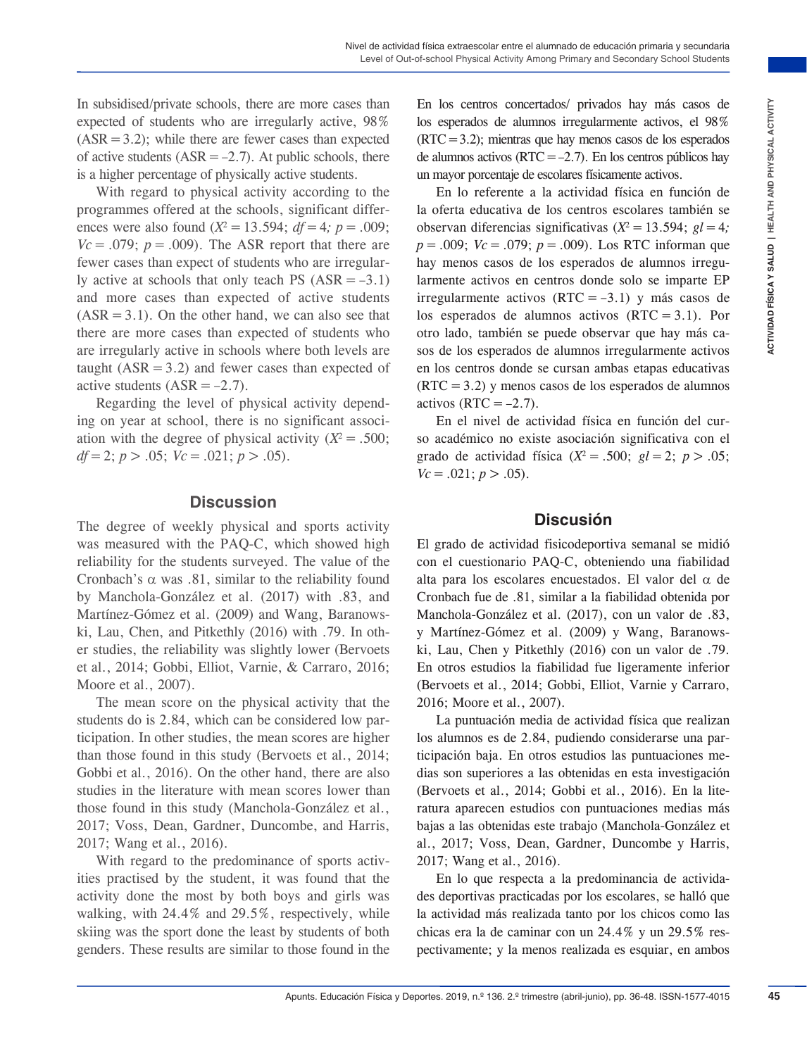In subsidised/private schools, there are more cases than expected of students who are irregularly active, 98%  $(ASR = 3.2)$ ; while there are fewer cases than expected of active students  $(ASR = -2.7)$ . At public schools, there is a higher percentage of physically active students.

With regard to physical activity according to the programmes offered at the schools, significant differences were also found ( $X^2 = 13.594$ ; *df* = 4; *p* = .009;  $Vc = .079$ ;  $p = .009$ ). The ASR report that there are fewer cases than expect of students who are irregularly active at schools that only teach PS  $(ASR = -3.1)$ and more cases than expected of active students  $(ASR = 3.1)$ . On the other hand, we can also see that there are more cases than expected of students who are irregularly active in schools where both levels are taught  $(ASR = 3.2)$  and fewer cases than expected of active students  $(ASR = -2.7)$ .

Regarding the level of physical activity depending on year at school, there is no significant association with the degree of physical activity  $(X^2 = .500)$ ; *df* = 2; *p* > .05;  $Vc = .021$ ; *p* > .05).

#### **Discussion**

The degree of weekly physical and sports activity was measured with the PAQ-C, which showed high reliability for the students surveyed. The value of the Cronbach's  $\alpha$  was .81, similar to the reliability found by Manchola-González et al. (2017) with .83, and Martínez-Gómez et al. (2009) and Wang, Baranowski, Lau, Chen, and Pitkethly (2016) with .79. In other studies, the reliability was slightly lower (Bervoets et al., 2014; Gobbi, Elliot, Varnie, & Carraro, 2016; Moore et al., 2007).

The mean score on the physical activity that the students do is 2.84, which can be considered low participation. In other studies, the mean scores are higher than those found in this study (Bervoets et al., 2014; Gobbi et al., 2016). On the other hand, there are also studies in the literature with mean scores lower than those found in this study (Manchola-González et al., 2017; Voss, Dean, Gardner, Duncombe, and Harris, 2017; Wang et al., 2016).

With regard to the predominance of sports activities practised by the student, it was found that the activity done the most by both boys and girls was walking, with 24.4% and 29.5%, respectively, while skiing was the sport done the least by students of both genders. These results are similar to those found in the En los centros concertados/ privados hay más casos de los esperados de alumnos irregularmente activos, el 98%  $(RTC=3.2)$ ; mientras que hay menos casos de los esperados de alumnos activos ( $RTC = -2.7$ ). En los centros públicos hay un mayor porcentaje de escolares físicamente activos.

En anote casses linn. Fin law oceans were also as the spectral of the spectral of the spectral of the spectral of the spectral of the spectral of the spectral of the spectral of the spectral of the spectral of the spectr En lo referente a la actividad física en función de la oferta educativa de los centros escolares también se observan diferencias significativas ( $X^2 = 13.594$ ;  $\ell = 4$ *; p*=.009; *Vc*=.079; *p*=.009). Los RTC informan que hay menos casos de los esperados de alumnos irregularmente activos en centros donde solo se imparte EP irregularmente activos (RTC =–3.1) y más casos de los esperados de alumnos activos (RTC = 3.1). Por otro lado, también se puede observar que hay más casos de los esperados de alumnos irregularmente activos en los centros donde se cursan ambas etapas educativas  $(RTC=3.2)$  y menos casos de los esperados de alumnos activos (RTC =  $-2.7$ ).

En el nivel de actividad física en función del curso académico no existe asociación significativa con el grado de actividad física  $(X^2 = .500; \, gl = 2; \, p > .05;$  $Vc = .021$ ;  $p > .05$ ).

#### **Discusión**

El grado de actividad fisicodeportiva semanal se midió con el cuestionario PAQ-C, obteniendo una fiabilidad alta para los escolares encuestados. El valor del  $\alpha$  de Cronbach fue de .81, similar a la fiabilidad obtenida por Manchola-González et al. (2017), con un valor de .83, y Martínez-Gómez et al. (2009) y Wang, Baranowski, Lau, Chen y Pitkethly (2016) con un valor de .79. En otros estudios la fiabilidad fue ligeramente inferior (Bervoets et al., 2014; Gobbi, Elliot, Varnie y Carraro, 2016; Moore et al., 2007).

La puntuación media de actividad física que realizan los alumnos es de 2.84, pudiendo considerarse una participación baja. En otros estudios las puntuaciones medias son superiores a las obtenidas en esta investigación (Bervoets et al., 2014; Gobbi et al., 2016). En la literatura aparecen estudios con puntuaciones medias más bajas a las obtenidas este trabajo (Manchola-González et al., 2017; Voss, Dean, Gardner, Duncombe y Harris, 2017; Wang et al., 2016).

En lo que respecta a la predominancia de actividades deportivas practicadas por los escolares, se halló que la actividad más realizada tanto por los chicos como las chicas era la de caminar con un 24.4% y un 29.5% respectivamente; y la menos realizada es esquiar, en ambos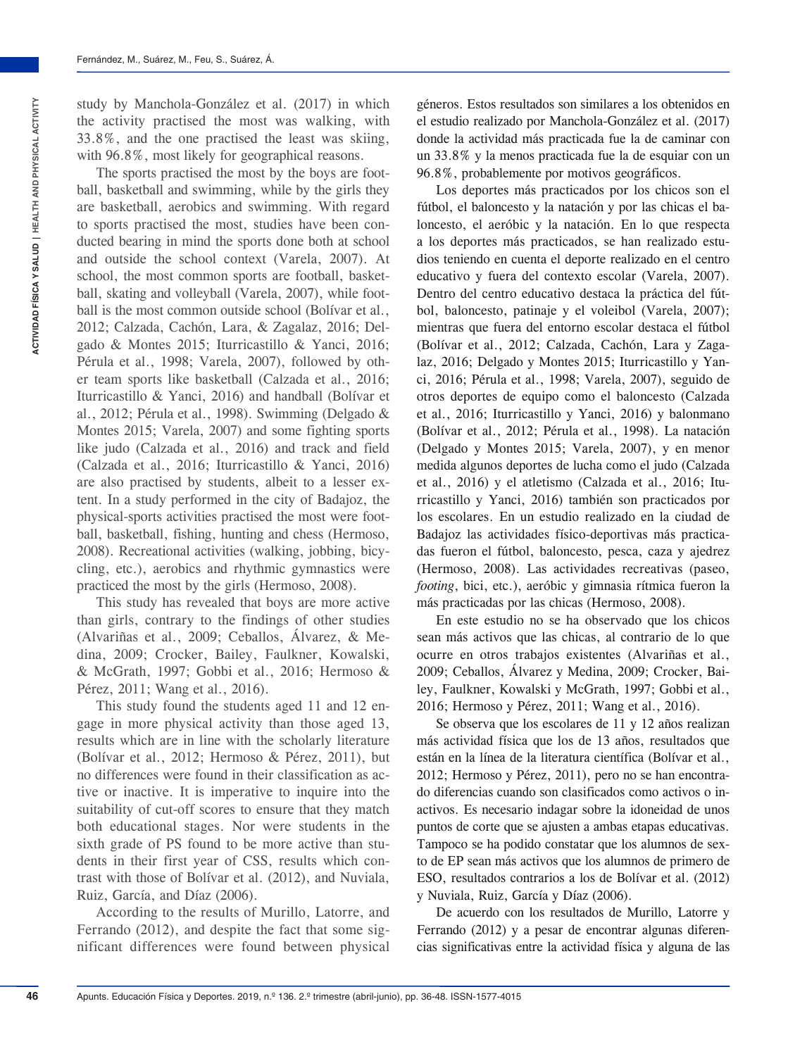study by Manchola-González et al. (2017) in which the activity practised the most was walking, with 33.8%, and the one practised the least was skiing, with 96.8%, most likely for geographical reasons.

The sports practised the most by the boys are football, basketball and swimming, while by the girls they are basketball, aerobics and swimming. With regard to sports practised the most, studies have been conducted bearing in mind the sports done both at school and outside the school context (Varela, 2007). At school, the most common sports are football, basketball, skating and volleyball (Varela, 2007), while football is the most common outside school (Bolívar et al., 2012; Calzada, Cachón, Lara, & Zagalaz, 2016; Delgado & Montes 2015; Iturricastillo & Yanci, 2016; Pérula et al., 1998; Varela, 2007), followed by other team sports like basketball (Calzada et al., 2016; Iturricastillo & Yanci, 2016) and handball (Bolívar et al., 2012; Pérula et al., 1998). Swimming (Delgado & Montes 2015; Varela, 2007) and some fighting sports like judo (Calzada et al., 2016) and track and field (Calzada et al., 2016; Iturricastillo & Yanci, 2016) are also practised by students, albeit to a lesser extent. In a study performed in the city of Badajoz, the physical-sports activities practised the most were football, basketball, fishing, hunting and chess (Hermoso, 2008). Recreational activities (walking, jobbing, bicycling, etc.), aerobics and rhythmic gymnastics were practiced the most by the girls (Hermoso, 2008).

This study has revealed that boys are more active than girls, contrary to the findings of other studies (Alvariñas et al., 2009; Ceballos, Álvarez, & Medina, 2009; Crocker, Bailey, Faulkner, Kowalski, & McGrath, 1997; Gobbi et al., 2016; Hermoso & Pérez, 2011; Wang et al., 2016).

This study found the students aged 11 and 12 engage in more physical activity than those aged 13, results which are in line with the scholarly literature (Bolívar et al., 2012; Hermoso & Pérez, 2011), but no differences were found in their classification as active or inactive. It is imperative to inquire into the suitability of cut-off scores to ensure that they match both educational stages. Nor were students in the sixth grade of PS found to be more active than students in their first year of CSS, results which contrast with those of Bolívar et al. (2012), and Nuviala, Ruiz, García, and Díaz (2006).

According to the results of Murillo, Latorre, and Ferrando (2012), and despite the fact that some significant differences were found between physical géneros. Estos resultados son similares a los obtenidos en el estudio realizado por Manchola-González et al. (2017) donde la actividad más practicada fue la de caminar con un 33.8% y la menos practicada fue la de esquiar con un 96.8%, probablemente por motivos geográficos.

Los deportes más practicados por los chicos son el fútbol, el baloncesto y la natación y por las chicas el baloncesto, el aeróbic y la natación. En lo que respecta a los deportes más practicados, se han realizado estudios teniendo en cuenta el deporte realizado en el centro educativo y fuera del contexto escolar (Varela, 2007). Dentro del centro educativo destaca la práctica del fútbol, baloncesto, patinaje y el voleibol (Varela, 2007); mientras que fuera del entorno escolar destaca el fútbol (Bolívar et al., 2012; Calzada, Cachón, Lara y Zagalaz, 2016; Delgado y Montes 2015; Iturricastillo y Yanci, 2016; Pérula et al., 1998; Varela, 2007), seguido de otros deportes de equipo como el baloncesto (Calzada et al., 2016; Iturricastillo y Yanci, 2016) y balonmano (Bolívar et al., 2012; Pérula et al., 1998). La natación (Delgado y Montes 2015; Varela, 2007), y en menor medida algunos deportes de lucha como el judo (Calzada et al., 2016) y el atletismo (Calzada et al., 2016; Iturricastillo y Yanci, 2016) también son practicados por los escolares. En un estudio realizado en la ciudad de Badajoz las actividades físico-deportivas más practicadas fueron el fútbol, baloncesto, pesca, caza y ajedrez (Hermoso, 2008). Las actividades recreativas (paseo, *footing*, bici, etc.), aeróbic y gimnasia rítmica fueron la más practicadas por las chicas (Hermoso, 2008).

En este estudio no se ha observado que los chicos sean más activos que las chicas, al contrario de lo que ocurre en otros trabajos existentes (Alvariñas et al., 2009; Ceballos, Álvarez y Medina, 2009; Crocker, Bailey, Faulkner, Kowalski y McGrath, 1997; Gobbi et al., 2016; Hermoso y Pérez, 2011; Wang et al., 2016).

Se observa que los escolares de 11 y 12 años realizan más actividad física que los de 13 años, resultados que están en la línea de la literatura científica (Bolívar et al., 2012; Hermoso y Pérez, 2011), pero no se han encontrado diferencias cuando son clasificados como activos o inactivos. Es necesario indagar sobre la idoneidad de unos puntos de corte que se ajusten a ambas etapas educativas. Tampoco se ha podido constatar que los alumnos de sexto de EP sean más activos que los alumnos de primero de ESO, resultados contrarios a los de Bolívar et al. (2012) y Nuviala, Ruiz, García y Díaz (2006).

De acuerdo con los resultados de Murillo, Latorre y Ferrando (2012) y a pesar de encontrar algunas diferencias significativas entre la actividad física y alguna de las

**46**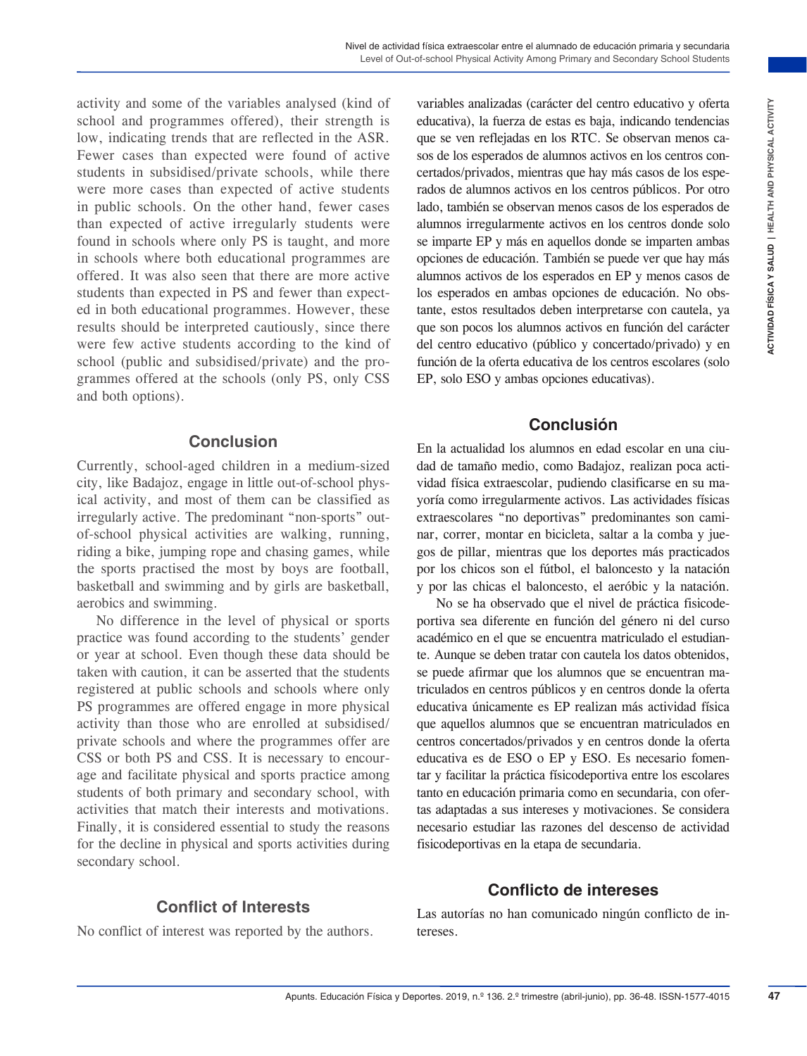activity and some of the variables analysed (kind of school and programmes offered), their strength is low, indicating trends that are reflected in the ASR. Fewer cases than expected were found of active students in subsidised/private schools, while there were more cases than expected of active students in public schools. On the other hand, fewer cases than expected of active irregularly students were found in schools where only PS is taught, and more in schools where both educational programmes are offered. It was also seen that there are more active students than expected in PS and fewer than expected in both educational programmes. However, these results should be interpreted cautiously, since there were few active students according to the kind of school (public and subsidised/private) and the programmes offered at the schools (only PS, only CSS and both options).

#### **Conclusion**

Currently, school-aged children in a medium-sized city, like Badajoz, engage in little out-of-school physical activity, and most of them can be classified as irregularly active. The predominant "non-sports" outof-school physical activities are walking, running, riding a bike, jumping rope and chasing games, while the sports practised the most by boys are football, basketball and swimming and by girls are basketball, aerobics and swimming.

No difference in the level of physical or sports practice was found according to the students' gender or year at school. Even though these data should be taken with caution, it can be asserted that the students registered at public schools and schools where only PS programmes are offered engage in more physical activity than those who are enrolled at subsidised/ private schools and where the programmes offer are CSS or both PS and CSS. It is necessary to encourage and facilitate physical and sports practice among students of both primary and secondary school, with activities that match their interests and motivations. Finally, it is considered essential to study the reasons for the decline in physical and sports activities during secondary school.

### **Conflict of Interests**

No conflict of interest was reported by the authors.

analysed (din of variables) and the material control of the material in the case of the material in the case were never the material in the ASR-198. In the ASR-198. In the same were network of the material condition of the variables analizadas (carácter del centro educativo y oferta educativa), la fuerza de estas es baja, indicando tendencias que se ven reflejadas en los RTC. Se observan menos casos de los esperados de alumnos activos en los centros concertados/privados, mientras que hay más casos de los esperados de alumnos activos en los centros públicos. Por otro lado, también se observan menos casos de los esperados de alumnos irregularmente activos en los centros donde solo se imparte EP y más en aquellos donde se imparten ambas opciones de educación. También se puede ver que hay más alumnos activos de los esperados en EP y menos casos de los esperados en ambas opciones de educación. No obstante, estos resultados deben interpretarse con cautela, ya que son pocos los alumnos activos en función del carácter del centro educativo (público y concertado/privado) y en función de la oferta educativa de los centros escolares (solo EP, solo ESO y ambas opciones educativas).

#### **Conclusión**

En la actualidad los alumnos en edad escolar en una ciudad de tamaño medio, como Badajoz, realizan poca actividad física extraescolar, pudiendo clasificarse en su mayoría como irregularmente activos. Las actividades físicas extraescolares "no deportivas" predominantes son caminar, correr, montar en bicicleta, saltar a la comba y juegos de pillar, mientras que los deportes más practicados por los chicos son el fútbol, el baloncesto y la natación y por las chicas el baloncesto, el aeróbic y la natación.

No se ha observado que el nivel de práctica fisicodeportiva sea diferente en función del género ni del curso académico en el que se encuentra matriculado el estudiante. Aunque se deben tratar con cautela los datos obtenidos, se puede afirmar que los alumnos que se encuentran matriculados en centros públicos y en centros donde la oferta educativa únicamente es EP realizan más actividad física que aquellos alumnos que se encuentran matriculados en centros concertados/privados y en centros donde la oferta educativa es de ESO o EP y ESO. Es necesario fomentar y facilitar la práctica físicodeportiva entre los escolares tanto en educación primaria como en secundaria, con ofertas adaptadas a sus intereses y motivaciones. Se considera necesario estudiar las razones del descenso de actividad fisicodeportivas en la etapa de secundaria.

### **Conflicto de intereses**

Las autorías no han comunicado ningún conflicto de intereses.